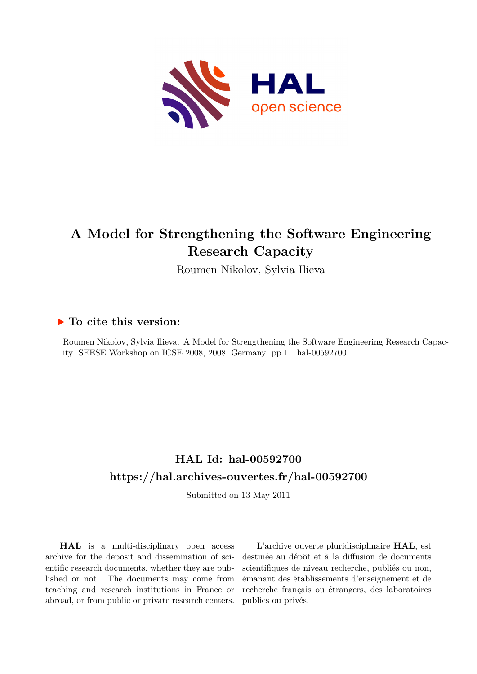

# **A Model for Strengthening the Software Engineering Research Capacity**

Roumen Nikolov, Sylvia Ilieva

# **To cite this version:**

Roumen Nikolov, Sylvia Ilieva. A Model for Strengthening the Software Engineering Research Capacity. SEESE Workshop on ICSE 2008, 2008, Germany. pp.1. hal-00592700

# **HAL Id: hal-00592700 <https://hal.archives-ouvertes.fr/hal-00592700>**

Submitted on 13 May 2011

**HAL** is a multi-disciplinary open access archive for the deposit and dissemination of scientific research documents, whether they are published or not. The documents may come from teaching and research institutions in France or abroad, or from public or private research centers.

L'archive ouverte pluridisciplinaire **HAL**, est destinée au dépôt et à la diffusion de documents scientifiques de niveau recherche, publiés ou non, émanant des établissements d'enseignement et de recherche français ou étrangers, des laboratoires publics ou privés.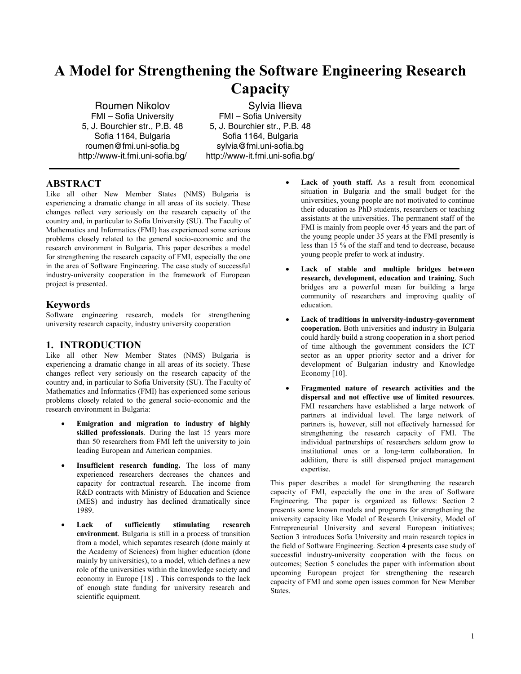# A Model for Strengthening the Software Engineering Research **Capacity**

Roumen Nikolov FMI – Sofia University 5, J. Bourchier str., P.B. 48 Sofia 1164, Bulgaria roumen@fmi.uni-sofia.bg http://www-it.fmi.uni-sofia.bg/

Sylvia Ilieva FMI – Sofia University 5, J. Bourchier str., P.B. 48 Sofia 1164, Bulgaria sylvia@fmi.uni-sofia.bg http://www-it.fmi.uni-sofia.bg/

# ABSTRACT

Like all other New Member States (NMS) Bulgaria is experiencing a dramatic change in all areas of its society. These changes reflect very seriously on the research capacity of the country and, in particular to Sofia University (SU). The Faculty of Mathematics and Informatics (FMI) has experienced some serious problems closely related to the general socio-economic and the research environment in Bulgaria. This paper describes a model for strengthening the research capacity of FMI, especially the one in the area of Software Engineering. The case study of successful industry-university cooperation in the framework of European project is presented.

#### Keywords

Software engineering research, models for strengthening university research capacity, industry university cooperation

### 1. INTRODUCTION

Like all other New Member States (NMS) Bulgaria is experiencing a dramatic change in all areas of its society. These changes reflect very seriously on the research capacity of the country and, in particular to Sofia University (SU). The Faculty of Mathematics and Informatics (FMI) has experienced some serious problems closely related to the general socio-economic and the research environment in Bulgaria:

- Emigration and migration to industry of highly skilled professionals. During the last 15 years more than 50 researchers from FMI left the university to join leading European and American companies.
- **Insufficient research funding.** The loss of many experienced researchers decreases the chances and capacity for contractual research. The income from R&D contracts with Ministry of Education and Science (MES) and industry has declined dramatically since 1989.
- Lack of sufficiently stimulating research environment. Bulgaria is still in a process of transition from a model, which separates research (done mainly at the Academy of Sciences) from higher education (done mainly by universities), to a model, which defines a new role of the universities within the knowledge society and economy in Europe [18] . This corresponds to the lack of enough state funding for university research and scientific equipment.
- Lack of youth staff. As a result from economical situation in Bulgaria and the small budget for the universities, young people are not motivated to continue their education as PhD students, researchers or teaching assistants at the universities. The permanent staff of the FMI is mainly from people over 45 years and the part of the young people under 35 years at the FMI presently is less than 15 % of the staff and tend to decrease, because young people prefer to work at industry.
- Lack of stable and multiple bridges between research, development, education and training. Such bridges are a powerful mean for building a large community of researchers and improving quality of education.
- Lack of traditions in university-industry-government cooperation. Both universities and industry in Bulgaria could hardly build a strong cooperation in a short period of time although the government considers the ICT sector as an upper priority sector and a driver for development of Bulgarian industry and Knowledge Economy [10].
- Fragmented nature of research activities and the dispersal and not effective use of limited resources. FMI researchers have established a large network of partners at individual level. The large network of partners is, however, still not effectively harnessed for strengthening the research capacity of FMI. The individual partnerships of researchers seldom grow to institutional ones or a long-term collaboration. In addition, there is still dispersed project management expertise.

This paper describes a model for strengthening the research capacity of FMI, especially the one in the area of Software Engineering. The paper is organized as follows: Section 2 presents some known models and programs for strengthening the university capacity like Model of Research University, Model of Entrepreneurial University and several European initiatives; Section 3 introduces Sofia University and main research topics in the field of Software Engineering. Section 4 presents case study of successful industry-university cooperation with the focus on outcomes; Section 5 concludes the paper with information about upcoming European project for strengthening the research capacity of FMI and some open issues common for New Member States.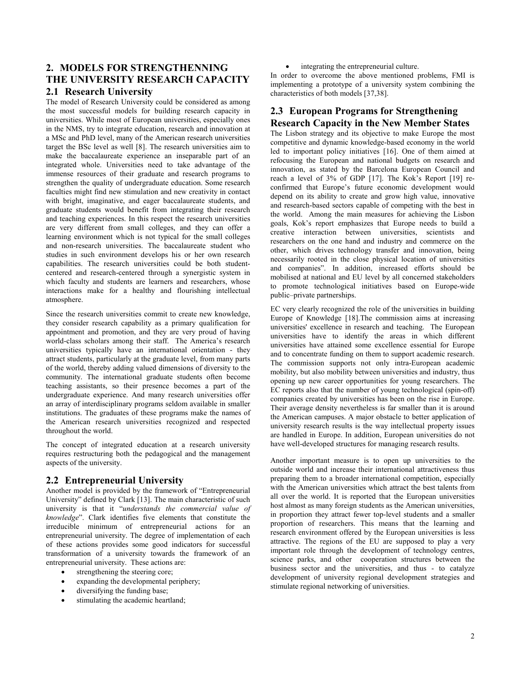# 2. MODELS FOR STRENGTHENNING THE UNIVERSITY RESEARCH CAPACITY 2.1 Research University

The model of Research University could be considered as among the most successful models for building research capacity in universities. While most of European universities, especially ones in the NMS, try to integrate education, research and innovation at a MSc and PhD level, many of the American research universities target the BSc level as well [8]. The research universities aim to make the baccalaureate experience an inseparable part of an integrated whole. Universities need to take advantage of the immense resources of their graduate and research programs to strengthen the quality of undergraduate education. Some research faculties might find new stimulation and new creativity in contact with bright, imaginative, and eager baccalaureate students, and graduate students would benefit from integrating their research and teaching experiences. In this respect the research universities are very different from small colleges, and they can offer a learning environment which is not typical for the small colleges and non-research universities. The baccalaureate student who studies in such environment develops his or her own research capabilities. The research universities could be both studentcentered and research-centered through a synergistic system in which faculty and students are learners and researchers, whose interactions make for a healthy and flourishing intellectual atmosphere.

Since the research universities commit to create new knowledge, they consider research capability as a primary qualification for appointment and promotion, and they are very proud of having world-class scholars among their staff. The America's research universities typically have an international orientation - they attract students, particularly at the graduate level, from many parts of the world, thereby adding valued dimensions of diversity to the community. The international graduate students often become teaching assistants, so their presence becomes a part of the undergraduate experience. And many research universities offer an array of interdisciplinary programs seldom available in smaller institutions. The graduates of these programs make the names of the American research universities recognized and respected throughout the world.

The concept of integrated education at a research university requires restructuring both the pedagogical and the management aspects of the university.

### 2.2 Entrepreneurial University

Another model is provided by the framework of "Entrepreneurial University" defined by Clark [13]. The main characteristic of such university is that it "understands the commercial value of knowledge". Clark identifies five elements that constitute the irreducible minimum of entrepreneurial actions for an entrepreneurial university. The degree of implementation of each of these actions provides some good indicators for successful transformation of a university towards the framework of an entrepreneurial university. These actions are:

- strengthening the steering core;
- expanding the developmental periphery;
- diversifying the funding base;
- stimulating the academic heartland;

• integrating the entrepreneurial culture.

In order to overcome the above mentioned problems, FMI is implementing a prototype of a university system combining the characteristics of both models [37,38].

### 2.3 European Programs for Strengthening Research Capacity in the New Member States

The Lisbon strategy and its objective to make Europe the most competitive and dynamic knowledge-based economy in the world led to important policy initiatives [16]. One of them aimed at refocusing the European and national budgets on research and innovation, as stated by the Barcelona European Council and reach a level of 3% of GDP [17]. The Kok's Report [19] reconfirmed that Europe's future economic development would depend on its ability to create and grow high value, innovative and research-based sectors capable of competing with the best in the world. Among the main measures for achieving the Lisbon goals, Kok's report emphasizes that Europe needs to build a creative interaction between universities, scientists and researchers on the one hand and industry and commerce on the other, which drives technology transfer and innovation, being necessarily rooted in the close physical location of universities and companies". In addition, increased efforts should be mobilised at national and EU level by all concerned stakeholders to promote technological initiatives based on Europe-wide public–private partnerships.

EC very clearly recognized the role of the universities in building Europe of Knowledge [18].The commission aims at increasing universities' excellence in research and teaching. The European universities have to identify the areas in which different universities have attained some excellence essential for Europe and to concentrate funding on them to support academic research. The commission supports not only intra-European academic mobility, but also mobility between universities and industry, thus opening up new career opportunities for young researchers. The EC reports also that the number of young technological (spin-off) companies created by universities has been on the rise in Europe. Their average density nevertheless is far smaller than it is around the American campuses. A major obstacle to better application of university research results is the way intellectual property issues are handled in Europe. In addition, European universities do not have well-developed structures for managing research results.

Another important measure is to open up universities to the outside world and increase their international attractiveness thus preparing them to a broader international competition, especially with the American universities which attract the best talents from all over the world. It is reported that the European universities host almost as many foreign students as the American universities, in proportion they attract fewer top-level students and a smaller proportion of researchers. This means that the learning and research environment offered by the European universities is less attractive. The regions of the EU are supposed to play a very important role through the development of technology centres, science parks, and other cooperation structures between the business sector and the universities, and thus - to catalyze development of university regional development strategies and stimulate regional networking of universities.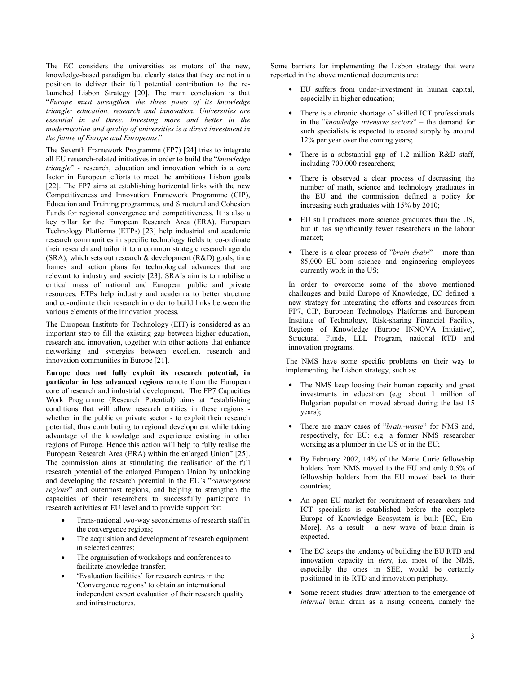The EC considers the universities as motors of the new, knowledge-based paradigm but clearly states that they are not in a position to deliver their full potential contribution to the relaunched Lisbon Strategy [20]. The main conclusion is that "Europe must strengthen the three poles of its knowledge triangle: education, research and innovation. Universities are essential in all three. Investing more and better in the modernisation and quality of universities is a direct investment in the future of Europe and Europeans."

The Seventh Framework Programme (FP7) [24] tries to integrate all EU research-related initiatives in order to build the "knowledge triangle" - research, education and innovation which is a core factor in European efforts to meet the ambitious Lisbon goals [22]. The FP7 aims at establishing horizontal links with the new Competitiveness and Innovation Framework Programme (CIP), Education and Training programmes, and Structural and Cohesion Funds for regional convergence and competitiveness. It is also a key pillar for the European Research Area (ERA). European Technology Platforms (ETPs) [23] help industrial and academic research communities in specific technology fields to co-ordinate their research and tailor it to a common strategic research agenda (SRA), which sets out research  $&$  development (R&D) goals, time frames and action plans for technological advances that are relevant to industry and society [23]. SRA's aim is to mobilise a critical mass of national and European public and private resources. ETPs help industry and academia to better structure and co-ordinate their research in order to build links between the various elements of the innovation process.

The European Institute for Technology (EIT) is considered as an important step to fill the existing gap between higher education, research and innovation, together with other actions that enhance networking and synergies between excellent research and innovation communities in Europe [21].

Europe does not fully exploit its research potential, in particular in less advanced regions remote from the European core of research and industrial development. The FP7 Capacities Work Programme (Research Potential) aims at "establishing conditions that will allow research entities in these regions whether in the public or private sector - to exploit their research potential, thus contributing to regional development while taking advantage of the knowledge and experience existing in other regions of Europe. Hence this action will help to fully realise the European Research Area (ERA) within the enlarged Union" [25]. The commission aims at stimulating the realisation of the full research potential of the enlarged European Union by unlocking and developing the research potential in the EU´s "convergence regions" and outermost regions, and helping to strengthen the capacities of their researchers to successfully participate in research activities at EU level and to provide support for:

- Trans-national two-way secondments of research staff in the convergence regions;
- The acquisition and development of research equipment in selected centres;
- The organisation of workshops and conferences to facilitate knowledge transfer;
- 'Evaluation facilities' for research centres in the 'Convergence regions' to obtain an international independent expert evaluation of their research quality and infrastructures.

Some barriers for implementing the Lisbon strategy that were reported in the above mentioned documents are:

- EU suffers from under-investment in human capital, especially in higher education;
- There is a chronic shortage of skilled ICT professionals in the "knowledge intensive sectors" – the demand for such specialists is expected to exceed supply by around 12% per year over the coming years;
- There is a substantial gap of 1.2 million R&D staff, including 700,000 researchers;
- There is observed a clear process of decreasing the number of math, science and technology graduates in the EU and the commission defined a policy for increasing such graduates with 15% by 2010;
- EU still produces more science graduates than the US, but it has significantly fewer researchers in the labour market;
- There is a clear process of "brain drain" more than 85,000 EU-born science and engineering employees currently work in the US;

In order to overcome some of the above mentioned challenges and build Europe of Knowledge, EC defined a new strategy for integrating the efforts and resources from FP7, CIP, European Technology Platforms and European Institute of Technology, Risk-sharing Financial Facility, Regions of Knowledge (Europe INNOVA Initiative), Structural Funds, LLL Program, national RTD and innovation programs.

The NMS have some specific problems on their way to implementing the Lisbon strategy, such as:

- The NMS keep loosing their human capacity and great investments in education (e.g. about 1 million of Bulgarian population moved abroad during the last 15 years);
- There are many cases of "brain-waste" for NMS and, respectively, for EU: e.g. a former NMS researcher working as a plumber in the US or in the EU;
- By February 2002, 14% of the Marie Curie fellowship holders from NMS moved to the EU and only 0.5% of fellowship holders from the EU moved back to their countries;
- An open EU market for recruitment of researchers and ICT specialists is established before the complete Europe of Knowledge Ecosystem is built [EC, Era-More]. As a result - a new wave of brain-drain is expected.
- The EC keeps the tendency of building the EU RTD and innovation capacity in tiers, i.e. most of the NMS, especially the ones in SEE, would be certainly positioned in its RTD and innovation periphery.
- Some recent studies draw attention to the emergence of internal brain drain as a rising concern, namely the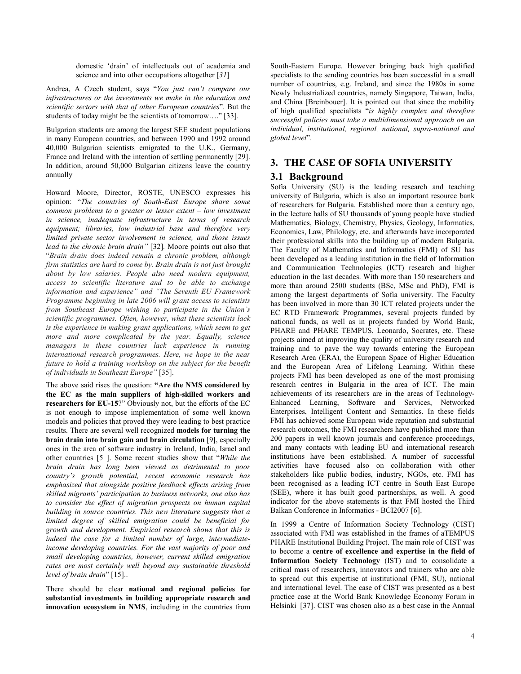domestic 'drain' of intellectuals out of academia and science and into other occupations altogether [31]

Andrea, A Czech student, says "You just can't compare our infrastructures or the investments we make in the education and scientific sectors with that of other European countries". But the students of today might be the scientists of tomorrow…." [33].

Bulgarian students are among the largest SEE student populations in many European countries, and between 1990 and 1992 around 40,000 Bulgarian scientists emigrated to the U.K., Germany, France and Ireland with the intention of settling permanently [29]. In addition, around 50,000 Bulgarian citizens leave the country annually

Howard Moore, Director, ROSTE, UNESCO expresses his opinion: "The countries of South-East Europe share some common problems to a greater or lesser extent – low investment in science, inadequate infrastructure in terms of research equipment; libraries, low industrial base and therefore very limited private sector involvement in science, and those issues lead to the chronic brain drain" [32]. Moore points out also that "Brain drain does indeed remain a chronic problem, although firm statistics are hard to come by. Brain drain is not just brought about by low salaries. People also need modern equipment, access to scientific literature and to be able to exchange information and experience" and "The Seventh EU Framework Programme beginning in late 2006 will grant access to scientists from Southeast Europe wishing to participate in the Union's scientific programmes. Often, however, what these scientists lack is the experience in making grant applications, which seem to get more and more complicated by the year. Equally, science managers in these countries lack experience in running international research programmes. Here, we hope in the near future to hold a training workshop on the subject for the benefit of individuals in Southeast Europe" [35].

The above said rises the question: "Are the NMS considered by the EC as the main suppliers of high-skilled workers and researchers for EU-15?" Obviously not, but the efforts of the EC is not enough to impose implementation of some well known models and policies that proved they were leading to best practice results. There are several well recognized models for turning the brain drain into brain gain and brain circulation [9], especially ones in the area of software industry in Ireland, India, Israel and other countries [5 ]. Some recent studies show that "While the brain drain has long been viewed as detrimental to poor country's growth potential, recent economic research has emphasized that alongside positive feedback effects arising from skilled migrants' participation to business networks, one also has to consider the effect of migration prospects on human capital building in source countries. This new literature suggests that a limited degree of skilled emigration could be beneficial for growth and development. Empirical research shows that this is indeed the case for a limited number of large, intermediateincome developing countries. For the vast majority of poor and small developing countries, however, current skilled emigration rates are most certainly well beyond any sustainable threshold level of brain drain" [15]..

There should be clear national and regional policies for substantial investments in building appropriate research and innovation ecosystem in NMS, including in the countries from

South-Eastern Europe. However bringing back high qualified specialists to the sending countries has been successful in a small number of countries, e.g. Ireland, and since the 1980s in some Newly Industrialized countries, namely Singapore, Taiwan, India, and China [Breinbouer]. It is pointed out that since the mobility of high qualified specialists "is highly complex and therefore successful policies must take a multidimensional approach on an individual, institutional, regional, national, supra-national and global level".

#### 3. THE CASE OF SOFIA UNIVERSITY

#### 3.1 Background

Sofia University (SU) is the leading research and teaching university of Bulgaria, which is also an important resource bank of researchers for Bulgaria. Established more than a century ago, in the lecture halls of SU thousands of young people have studied Mathematics, Biology, Chemistry, Physics, Geology, Informatics, Economics, Law, Philology, etc. and afterwards have incorporated their professional skills into the building up of modern Bulgaria. The Faculty of Mathematics and Informatics (FMI) of SU has been developed as a leading institution in the field of Information and Communication Technologies (ICT) research and higher education in the last decades. With more than 150 researchers and more than around 2500 students (BSc, MSc and PhD), FMI is among the largest departments of Sofia university. The Faculty has been involved in more than 30 ICT related projects under the EC RTD Framework Programmes, several projects funded by national funds, as well as in projects funded by World Bank, PHARE and PHARE TEMPUS, Leonardo, Socrates, etc. These projects aimed at improving the quality of university research and training and to pave the way towards entering the European Research Area (ERA), the European Space of Higher Education and the European Area of Lifelong Learning. Within these projects FMI has been developed as one of the most promising research centres in Bulgaria in the area of ICT. The main achievements of its researchers are in the areas of Technology-Enhanced Learning, Software and Services, Networked Enterprises, Intelligent Content and Semantics. In these fields FMI has achieved some European wide reputation and substantial research outcomes, the FMI researchers have published more than 200 papers in well known journals and conference proceedings, and many contacts with leading EU and international research institutions have been established. A number of successful activities have focused also on collaboration with other stakeholders like public bodies, industry, NGOs, etc. FMI has been recognised as a leading ICT centre in South East Europe (SEE), where it has built good partnerships, as well. A good indicator for the above statements is that FMI hosted the Third Balkan Conference in Informatics - BCI2007 [6].

In 1999 a Centre of Information Society Technology (CIST) associated with FMI was established in the frames of aTEMPUS PHARE Institutional Building Project. The main role of CIST was to become a centre of excellence and expertise in the field of Information Society Technology (IST) and to consolidate a critical mass of researchers, innovators and trainers who are able to spread out this expertise at institutional (FMI, SU), national and international level. The case of CIST was presented as a best practice case at the World Bank Knowledge Economy Forum in Helsinki [37]. CIST was chosen also as a best case in the Annual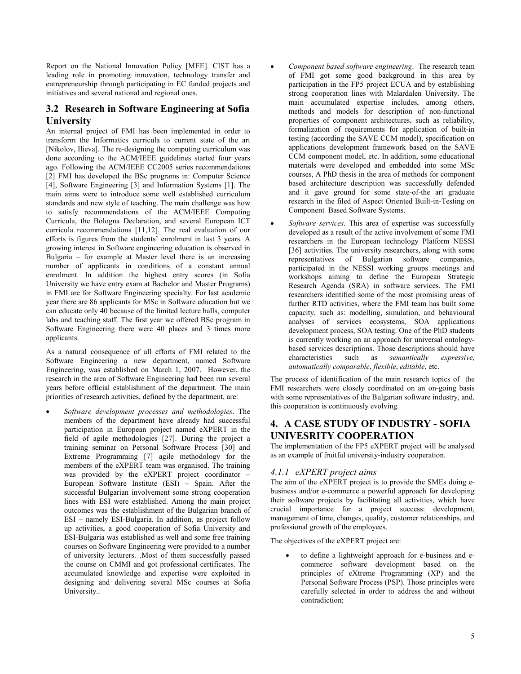Report on the National Innovation Policy [MEE]. CIST has a leading role in promoting innovation, technology transfer and entrepreneurship through participating in EC funded projects and initiatives and several national and regional ones.

### 3.2 Research in Software Engineering at Sofia **University**

An internal project of FMI has been implemented in order to transform the Informatics curricula to current state of the art [Nikolov, Ilieva]. The re-designing the computing curriculum was done according to the ACM/IEEE guidelines started four years ago. Following the ACM/IEEE CC2005 series recommendations [2] FMI has developed the BSc programs in: Computer Science [4], Software Engineering [3] and Information Systems [1]. The main aims were to introduce some well established curriculum standards and new style of teaching. The main challenge was how to satisfy recommendations of the ACM/IEEE Computing Curricula, the Bologna Declaration, and several European ICT curricula recommendations [11,12]. The real evaluation of our efforts is figures from the students' enrolment in last 3 years. A growing interest in Software engineering education is observed in Bulgaria – for example at Master level there is an increasing number of applicants in conditions of a constant annual enrolment. In addition the highest entry scores (in Sofia University we have entry exam at Bachelor and Master Programs) in FMI are for Software Engineering specialty. For last academic year there are 86 applicants for MSc in Software education but we can educate only 40 because of the limited lecture halls, computer labs and teaching staff. The first year we offered BSc program in Software Engineering there were 40 places and 3 times more applicants.

As a natural consequence of all efforts of FMI related to the Software Engineering a new department, named Software Engineering, was established on March 1, 2007. However, the research in the area of Software Engineering had been run several years before official establishment of the department. The main priorities of research activities, defined by the department, are:

Software development processes and methodologies. The members of the department have already had successful participation in European project named eXPERT in the field of agile methodologies [27]. During the project a training seminar on Personal Software Process [30] and Extreme Programming [7] agile methodology for the members of the eXPERT team was organised. The training was provided by the eXPERT project coordinator – European Software Institute (ESI) – Spain. After the successful Bulgarian involvement some strong cooperation lines with ESI were established. Among the main project outcomes was the establishment of the Bulgarian branch of ESI – namely ESI-Bulgaria. In addition, as project follow up activities, a good cooperation of Sofia University and ESI-Bulgaria was established as well and some free training courses on Software Engineering were provided to a number of university lecturers. .Most of them successfully passed the course on CMMI and got professional certificates. The accumulated knowledge and expertise were exploited in designing and delivering several MSc courses at Sofia University..

- Component based software engineering. The research team of FMI got some good background in this area by participation in the FP5 project ECUA and by establishing strong cooperation lines with Malardalen University. The main accumulated expertise includes, among others, methods and models for description of non-functional properties of component architectures, such as reliability, formalization of requirements for application of built-in testing (according the SAVE CCM model), specification on applications development framework based on the SAVE CCM component model, etc. In addition, some educational materials were developed and embedded into some MSc courses, A PhD thesis in the area of methods for component based architecture description was successfully defended and it gave ground for some state-of-the art graduate research in the filed of Aspect Oriented Built-in-Testing on Component Based Software Systems.
- Software services. This area of expertise was successfully developed as a result of the active involvement of some FMI researchers in the European technology Platform NESSI [36] activities. The university researchers, along with some representatives of Bulgarian software companies, participated in the NESSI working groups meetings and workshops aiming to define the European Strategic Research Agenda (SRA) in software services. The FMI researchers identified some of the most promising areas of further RTD activities, where the FMI team has built some capacity, such as: modelling, simulation, and behavioural analyses of services ecosystems, SOA applications development process, SOA testing. One of the PhD students is currently working on an approach for universal ontologybased services descriptions. Those descriptions should have characteristics such as semantically expressive, automatically comparable, flexible, editable, etc.

The process of identification of the main research topics of the FMI researchers were closely coordinated on an on-going basis with some representatives of the Bulgarian software industry, and. this cooperation is continuously evolving.

# 4. A CASE STUDY OF INDUSTRY - SOFIA UNIVESRITY COOPERATION

The implementation of the FP5 eXPERT project will be analysed as an example of fruitful university-industry cooperation.

#### 4.1.1 eXPERT project aims

The aim of the eXPERT project is to provide the SMEs doing ebusiness and/or e-commerce a powerful approach for developing their software projects by facilitating all activities, which have crucial importance for a project success: development, management of time, changes, quality, customer relationships, and professional growth of the employees.

The objectives of the eXPERT project are:

• to define a lightweight approach for e-business and ecommerce software development based on the principles of eXtreme Programming (XP) and the Personal Software Process (PSP). Those principles were carefully selected in order to address the and without contradiction;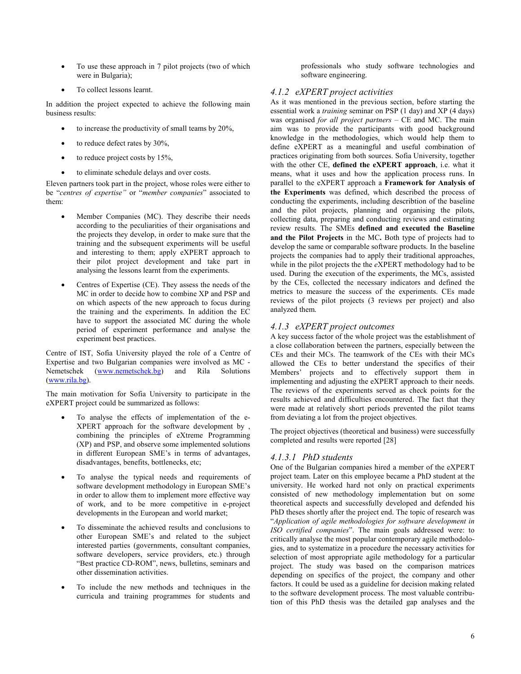- To use these approach in 7 pilot projects (two of which were in Bulgaria);
- To collect lessons learnt.

In addition the project expected to achieve the following main business results:

- to increase the productivity of small teams by 20%,
- $\bullet$  to reduce defect rates by 30%,
- $\bullet$  to reduce project costs by 15%,
- to eliminate schedule delays and over costs.

Eleven partners took part in the project, whose roles were either to be "centres of expertise" or "member companies" associated to them:

- Member Companies (MC). They describe their needs according to the peculiarities of their organisations and the projects they develop, in order to make sure that the training and the subsequent experiments will be useful and interesting to them; apply eXPERT approach to their pilot project development and take part in analysing the lessons learnt from the experiments.
- Centres of Expertise (CE). They assess the needs of the MC in order to decide how to combine XP and PSP and on which aspects of the new approach to focus during the training and the experiments. In addition the EC have to support the associated MC during the whole period of experiment performance and analyse the experiment best practices.

Centre of IST, Sofia University played the role of a Centre of Expertise and two Bulgarian companies were involved as MC - Nemetschek (www.nemetschek.bg) and Rila Solutions (www.rila.bg).

The main motivation for Sofia University to participate in the eXPERT project could be summarized as follows:

- To analyse the effects of implementation of the e-XPERT approach for the software development by , combining the principles of eXtreme Programming (XP) and PSP, and observe some implemented solutions in different European SME's in terms of advantages, disadvantages, benefits, bottlenecks, etc;
- To analyse the typical needs and requirements of software development methodology in European SME's in order to allow them to implement more effective way of work, and to be more competitive in e-project developments in the European and world market;
- To disseminate the achieved results and conclusions to other European SME's and related to the subject interested parties (governments, consultant companies, software developers, service providers, etc.) through "Best practice CD-ROM", news, bulletins, seminars and other dissemination activities.
- To include the new methods and techniques in the curricula and training programmes for students and

professionals who study software technologies and software engineering.

#### 4.1.2 eXPERT project activities

As it was mentioned in the previous section, before starting the essential work a training seminar on PSP (1 day) and XP (4 days) was organised *for all project partners* – CE and MC. The main aim was to provide the participants with good background knowledge in the methodologies, which would help them to define eXPERT as a meaningful and useful combination of practices originating from both sources. Sofia University, together with the other CE, defined the eXPERT approach, i.e. what it means, what it uses and how the application process runs. In parallel to the eXPERT approach a Framework for Analysis of the Experiments was defined, which described the process of conducting the experiments, including describtion of the baseline and the pilot projects, planning and organising the pilots, collecting data, preparing and conducting reviews and estimating review results. The SMEs defined and executed the Baseline and the Pilot Projects in the MC. Both type of projects had to develop the same or comparable software products. In the baseline projects the companies had to apply their traditional approaches, while in the pilot projects the the eXPERT methodology had to be used. During the execution of the experiments, the MCs, assisted by the CEs, collected the necessary indicators and defined the metrics to measure the success of the experiments. CEs made reviews of the pilot projects (3 reviews per project) and also analyzed them.

#### 4.1.3 eXPERT project outcomes

A key success factor of the whole project was the establishment of a close collaboration between the partners, especially between the CEs and their MCs. The teamwork of the CEs with their MCs allowed the CEs to better understand the specifics of their Members' projects and to effectively support them in implementing and adjusting the eXPERT approach to their needs. The reviews of the experiments served as check points for the results achieved and difficulties encountered. The fact that they were made at relatively short periods prevented the pilot teams from deviating a lot from the project objectives.

The project objectives (theoretical and business) were successfully completed and results were reported [28]

### 4.1.3.1 PhD students

One of the Bulgarian companies hired a member of the eXPERT project team. Later on this employee became a PhD student at the university. He worked hard not only on practical experiments consisted of new methodology implementation but on some theoretical aspects and successfully developed and defended his PhD theses shortly after the project end. The topic of research was "Application of agile methodologies for software development in  $I_{ISO}^{11}$  certified companies". The main goals addressed were: to critically analyse the most popular contemporary agile methodologies, and to systematize in a procedure the necessary activities for selection of most appropriate agile methodology for a particular project. The study was based on the comparison matrices depending on specifics of the project, the company and other factors. It could be used as a guideline for decision making related to the software development process. The most valuable contribution of this PhD thesis was the detailed gap analyses and the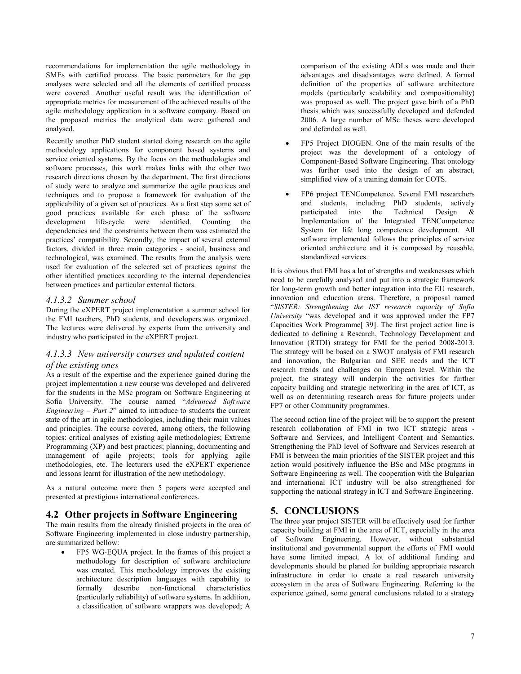recommendations for implementation the agile methodology in SMEs with certified process. The basic parameters for the gap analyses were selected and all the elements of certified process were covered. Another useful result was the identification of appropriate metrics for measurement of the achieved results of the agile methodology application in a software company. Based on the proposed metrics the analytical data were gathered and analysed.

Recently another PhD student started doing research on the agile methodology applications for component based systems and service oriented systems. By the focus on the methodologies and software processes, this work makes links with the other two research directions chosen by the department. The first directions of study were to analyze and summarize the agile practices and techniques and to propose a framework for evaluation of the applicability of a given set of practices. As a first step some set of good practices available for each phase of the software development life-cycle were identified. Counting the dependencies and the constraints between them was estimated the practices' compatibility. Secondly, the impact of several external factors, divided in three main categories - social, business and technological, was examined. The results from the analysis were used for evaluation of the selected set of practices against the other identified practices according to the internal dependencies between practices and particular external factors.

#### 4.1.3.2 Summer school

During the eXPERT project implementation a summer school for the FMI teachers, PhD students, and developers.was organized. The lectures were delivered by experts from the university and industry who participated in the eXPERT project.

#### 4.1.3.3 New university courses and updated content of the existing ones

As a result of the expertise and the experience gained during the project implementation a new course was developed and delivered for the students in the MSc program on Software Engineering at Sofia University. The course named "Advanced Software Engineering – Part  $2$ " aimed to introduce to students the current state of the art in agile methodologies, including their main values and principles. The course covered, among others, the following topics: critical analyses of existing agile methodologies; Extreme Programming (XP) and best practices; planning, documenting and management of agile projects; tools for applying agile methodologies, etc. The lecturers used the eXPERT experience and lessons learnt for illustration of the new methodology.

As a natural outcome more then 5 papers were accepted and presented at prestigious international conferences.

#### 4.2 Other projects in Software Engineering

The main results from the already finished projects in the area of Software Engineering implemented in close industry partnership, are summarized bellow:

• FP5 WG-EQUA project. In the frames of this project a methodology for description of software architecture was created. This methodology improves the existing architecture description languages with capability to formally describe non-functional characteristics (particularly reliability) of software systems. In addition, a classification of software wrappers was developed; A

comparison of the existing ADLs was made and their advantages and disadvantages were defined. A formal definition of the properties of software architecture models (particularly scalability and compositionality) was proposed as well. The project gave birth of a PhD thesis which was successfully developed and defended 2006. A large number of MSc theses were developed and defended as well.

- FP5 Project DIOGEN. One of the main results of the project was the development of a ontology of Component-Based Software Engineering. That ontology was further used into the design of an abstract, simplified view of a training domain for COTS.
- FP6 project TENCompetence. Several FMI researchers and students, including PhD students, actively participated into the Technical Design & Implementation of the Integrated TENCompetence System for life long competence development. All software implemented follows the principles of service oriented architecture and it is composed by reusable, standardized services.

It is obvious that FMI has a lot of strengths and weaknesses which need to be carefully analysed and put into a strategic framework for long-term growth and better integration into the EU research, innovation and education areas. Therefore, a proposal named "SISTER: Strengthening the IST research capacity of Sofia University "was developed and it was approved under the FP7 Capacities Work Programme[ 39]. The first project action line is dedicated to defining a Research, Technology Development and Innovation (RTDI) strategy for FMI for the period 2008-2013. The strategy will be based on a SWOT analysis of FMI research and innovation, the Bulgarian and SEE needs and the ICT research trends and challenges on European level. Within the project, the strategy will underpin the activities for further capacity building and strategic networking in the area of ICT, as well as on determining research areas for future projects under FP7 or other Community programmes.

The second action line of the project will be to support the present research collaboration of FMI in two ICT strategic areas - Software and Services, and Intelligent Content and Semantics. Strengthening the PhD level of Software and Services research at FMI is between the main priorities of the SISTER project and this action would positively influence the BSc and MSc programs in Software Engineering as well. The cooperation with the Bulgarian and international ICT industry will be also strengthened for supporting the national strategy in ICT and Software Engineering.

### 5. CONCLUSIONS

The three year project SISTER will be effectively used for further capacity building at FMI in the area of ICT, especially in the area of Software Engineering. However, without substantial institutional and governmental support the efforts of FMI would have some limited impact. A lot of additional funding and developments should be planed for building appropriate research infrastructure in order to create a real research university ecosystem in the area of Software Engineering. Referring to the experience gained, some general conclusions related to a strategy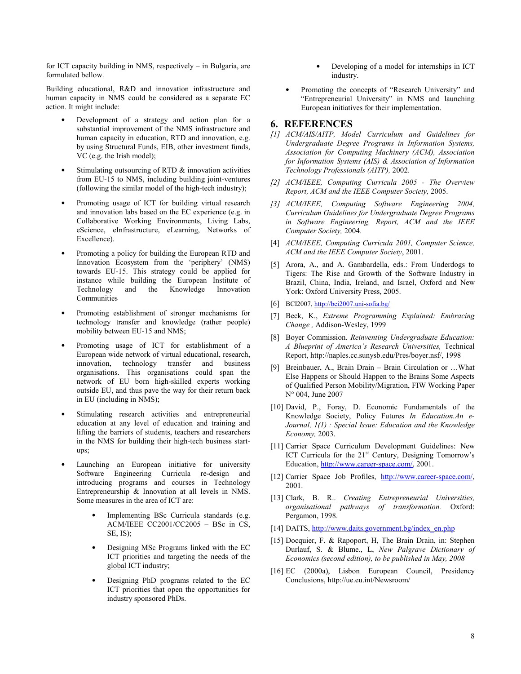for ICT capacity building in NMS, respectively – in Bulgaria, are formulated bellow.

Building educational, R&D and innovation infrastructure and human capacity in NMS could be considered as a separate EC action. It might include:

- Development of a strategy and action plan for a substantial improvement of the NMS infrastructure and human capacity in education, RTD and innovation, e.g. by using Structural Funds, EIB, other investment funds, VC (e.g. the Irish model);
- Stimulating outsourcing of RTD  $\&$  innovation activities from EU-15 to NMS, including building joint-ventures (following the similar model of the high-tech industry);
- Promoting usage of ICT for building virtual research and innovation labs based on the EC experience (e.g. in Collaborative Working Environments, Living Labs, eScience, eInfrastructure, eLearning, Networks of Excellence).
- Promoting a policy for building the European RTD and Innovation Ecosystem from the 'periphery' (NMS) towards EU-15. This strategy could be applied for instance while building the European Institute of Technology and the Knowledge Innovation the Knowledge Communities
- Promoting establishment of stronger mechanisms for technology transfer and knowledge (rather people) mobility between EU-15 and NMS;
- Promoting usage of ICT for establishment of a European wide network of virtual educational, research, innovation, technology transfer and business organisations. This organisations could span the network of EU born high-skilled experts working outside EU, and thus pave the way for their return back in EU (including in NMS);
- Stimulating research activities and entrepreneurial education at any level of education and training and lifting the barriers of students, teachers and researchers in the NMS for building their high-tech business startups;
- Launching an European initiative for university Software Engineering Curricula re-design and introducing programs and courses in Technology Entrepreneurship & Innovation at all levels in NMS. Some measures in the area of ICT are:
	- Implementing BSc Curricula standards (e.g.  $ACM/IEEE CC2001/CC2005 - BSc$  in CS, SE, IS);
	- Designing MSc Programs linked with the EC ICT priorities and targeting the needs of the global ICT industry;
	- Designing PhD programs related to the EC ICT priorities that open the opportunities for industry sponsored PhDs.
- Developing of a model for internships in ICT industry.
- Promoting the concepts of "Research University" and "Entrepreneurial University" in NMS and launching European initiatives for their implementation.

#### 6. REFERENCES

- [1] ACM/AIS/AITP, Model Curriculum and Guidelines for Undergraduate Degree Programs in Information Systems, Association for Computing Machinery (ACM), Association for Information Systems (AIS) & Association of Information Technology Professionals (AITP), 2002.
- [2] ACM/IEEE, Computing Curricula 2005 The Overview Report, ACM and the IEEE Computer Society, 2005.
- [3] ACM/IEEE, Computing Software Engineering 2004, Curriculum Guidelines for Undergraduate Degree Programs in Software Engineering, Report, ACM and the IEEE Computer Society, 2004.
- [4] ACM/IEEE, Computing Curricula 2001, Computer Science, ACM and the IEEE Computer Society, 2001.
- [5] Arora, A., and A. Gambardella, eds.: From Underdogs to Tigers: The Rise and Growth of the Software Industry in Brazil, China, India, Ireland, and Israel, Oxford and New York: Oxford University Press, 2005.
- [6] BCI2007, http://bci2007.uni-sofia.bg/
- [7] Beck, K., Extreme Programming Explained: Embracing Change , Addison-Wesley, 1999
- [8] Boyer Commission. Reinventing Undergraduate Education: A Blueprint of America's Research Universities, Technical Report, http://naples.cc.sunysb.edu/Pres/boyer.nsf/, 1998
- [9] Breinbauer, A., Brain Drain Brain Circulation or …What Else Happens or Should Happen to the Brains Some Aspects of Qualified Person Mobility/Migration, FIW Working Paper N° 004, June 2007
- [10] David, P., Foray, D. Economic Fundamentals of the Knowledge Society, Policy Futures In Education.An e-Journal, 1(1) : Special Issue: Education and the Knowledge Economy, 2003.
- [11] Carrier Space Curriculum Development Guidelines: New ICT Curricula for the 21<sup>st</sup> Century, Designing Tomorrow's Education, http://www.career-space.com/, 2001.
- [12] Carrier Space Job Profiles, http://www.career-space.com/, 2001.
- [13] Clark, B. R.. Creating Entrepreneurial Universities, organisational pathways of transformation. Oxford: Pergamon, 1998.
- [14] DAITS, http://www.daits.government.bg/index\_en.php
- [15] Docquier, F. & Rapoport, H. The Brain Drain, in: Stephen Durlauf, S. & Blume., L, New Palgrave Dictionary of Economics (second edition), to be published in May, 2008
- [16] EC (2000a), Lisbon European Council, Presidency Conclusions, http://ue.eu.int/Newsroom/